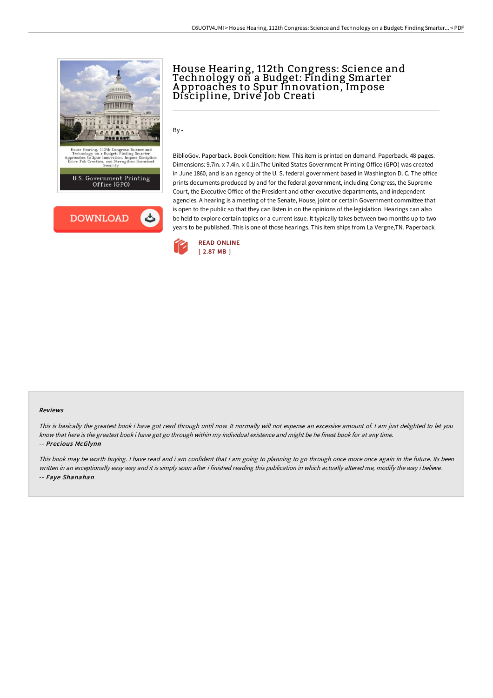

## House Hearing, 112th Congress: Science and Technology on a Budget: Finding Smarter A pproaches to Spur Innovation, Impose Discipline, Drive Job Creati

By -

BiblioGov. Paperback. Book Condition: New. This item is printed on demand. Paperback. 48 pages. Dimensions: 9.7in. x 7.4in. x 0.1in.The United States Government Printing Office (GPO) was created in June 1860, and is an agency of the U. S. federal government based in Washington D. C. The office prints documents produced by and for the federal government, including Congress, the Supreme Court, the Executive Office of the President and other executive departments, and independent agencies. A hearing is a meeting of the Senate, House, joint or certain Government committee that is open to the public so that they can listen in on the opinions of the legislation. Hearings can also be held to explore certain topics or a current issue. It typically takes between two months up to two years to be published. This is one of those hearings. This item ships from La Vergne,TN. Paperback.



## Reviews

This is basically the greatest book i have got read through until now. It normally will not expense an excessive amount of. <sup>I</sup> am just delighted to let you know that here is the greatest book i have got go through within my individual existence and might be he finest book for at any time. -- Precious McGlynn

This book may be worth buying. I have read and i am confident that i am going to planning to go through once more once again in the future. Its been written in an exceptionally easy way and it is simply soon after i finished reading this publication in which actually altered me, modify the way i believe. -- Faye Shanahan